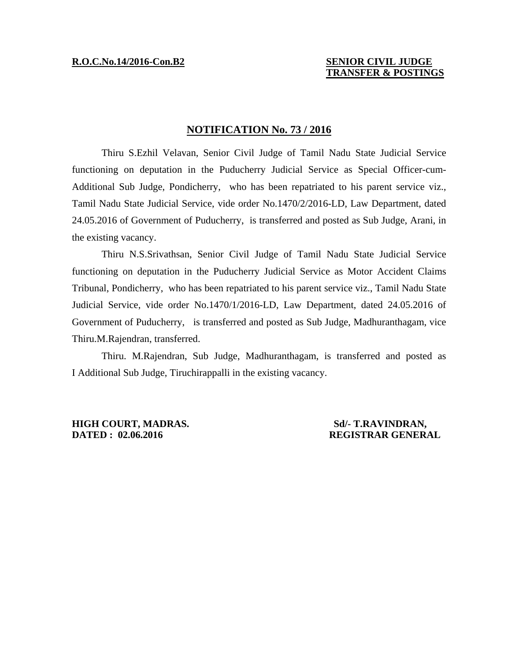## **R.O.C.No.14/2016-Con.B2 SENIOR CIVIL JUDGE TRANSFER & POSTINGS**

## **NOTIFICATION No. 73 / 2016**

 Thiru S.Ezhil Velavan, Senior Civil Judge of Tamil Nadu State Judicial Service functioning on deputation in the Puducherry Judicial Service as Special Officer-cum-Additional Sub Judge, Pondicherry, who has been repatriated to his parent service viz., Tamil Nadu State Judicial Service, vide order No.1470/2/2016-LD, Law Department, dated 24.05.2016 of Government of Puducherry, is transferred and posted as Sub Judge, Arani, in the existing vacancy.

 Thiru N.S.Srivathsan, Senior Civil Judge of Tamil Nadu State Judicial Service functioning on deputation in the Puducherry Judicial Service as Motor Accident Claims Tribunal, Pondicherry, who has been repatriated to his parent service viz., Tamil Nadu State Judicial Service, vide order No.1470/1/2016-LD, Law Department, dated 24.05.2016 of Government of Puducherry, is transferred and posted as Sub Judge, Madhuranthagam, vice Thiru.M.Rajendran, transferred.

 Thiru. M.Rajendran, Sub Judge, Madhuranthagam, is transferred and posted as I Additional Sub Judge, Tiruchirappalli in the existing vacancy.

**HIGH COURT, MADRAS.** Sd/- T.RAVINDRAN, **DATED : 02.06.2016 CONTRAR GENERAL REGISTRAR GENERAL**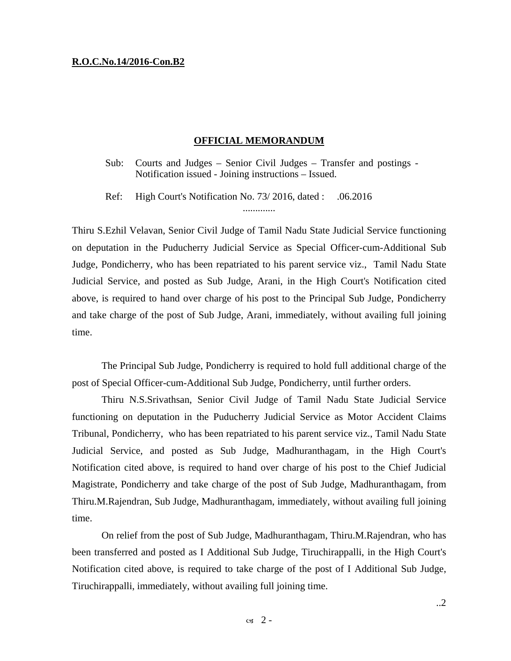## **R.O.C.No.14/2016-Con.B2**

## **OFFICIAL MEMORANDUM**

Sub: Courts and Judges – Senior Civil Judges – Transfer and postings - Notification issued - Joining instructions – Issued.

Ref: High Court's Notification No. 73/2016, dated : .06.2016 .............

Thiru S.Ezhil Velavan, Senior Civil Judge of Tamil Nadu State Judicial Service functioning on deputation in the Puducherry Judicial Service as Special Officer-cum-Additional Sub Judge, Pondicherry, who has been repatriated to his parent service viz., Tamil Nadu State Judicial Service, and posted as Sub Judge, Arani, in the High Court's Notification cited above, is required to hand over charge of his post to the Principal Sub Judge, Pondicherry and take charge of the post of Sub Judge, Arani, immediately, without availing full joining time.

 The Principal Sub Judge, Pondicherry is required to hold full additional charge of the post of Special Officer-cum-Additional Sub Judge, Pondicherry, until further orders.

 Thiru N.S.Srivathsan, Senior Civil Judge of Tamil Nadu State Judicial Service functioning on deputation in the Puducherry Judicial Service as Motor Accident Claims Tribunal, Pondicherry, who has been repatriated to his parent service viz., Tamil Nadu State Judicial Service, and posted as Sub Judge, Madhuranthagam, in the High Court's Notification cited above, is required to hand over charge of his post to the Chief Judicial Magistrate, Pondicherry and take charge of the post of Sub Judge, Madhuranthagam, from Thiru.M.Rajendran, Sub Judge, Madhuranthagam, immediately, without availing full joining time.

 On relief from the post of Sub Judge, Madhuranthagam, Thiru.M.Rajendran, who has been transferred and posted as I Additional Sub Judge, Tiruchirappalli, in the High Court's Notification cited above, is required to take charge of the post of I Additional Sub Judge, Tiruchirappalli, immediately, without availing full joining time.